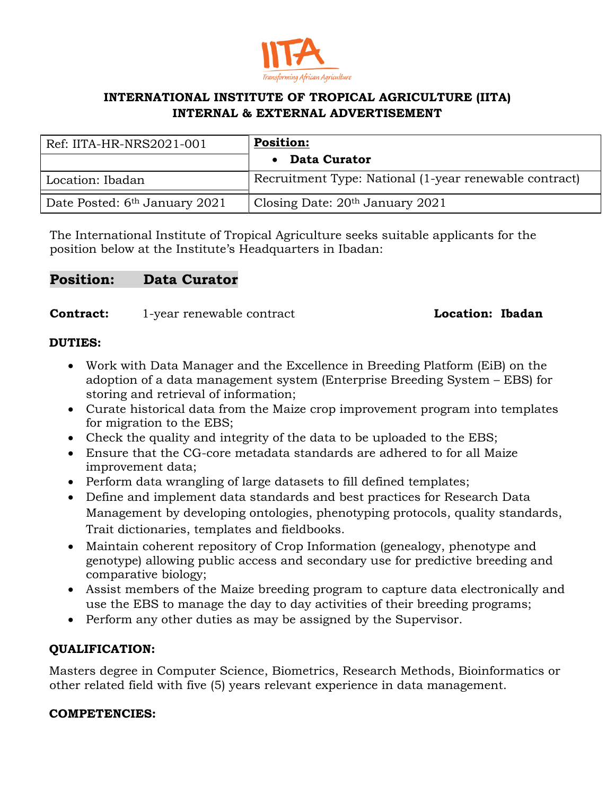

# **INTERNATIONAL INSTITUTE OF TROPICAL AGRICULTURE (IITA) INTERNAL & EXTERNAL ADVERTISEMENT**

| Ref: IITA-HR-NRS2021-001                  | <b>Position:</b>                                       |
|-------------------------------------------|--------------------------------------------------------|
|                                           | • Data Curator                                         |
| Location: Ibadan                          | Recruitment Type: National (1-year renewable contract) |
| Date Posted: 6 <sup>th</sup> January 2021 | Closing Date: $20th$ January 2021                      |

The International Institute of Tropical Agriculture seeks suitable applicants for the position below at the Institute's Headquarters in Ibadan:

# **Position: Data Curator**

**Contract:** 1-year renewable contract **Location: Ibadan** 

#### **DUTIES:**

- Work with Data Manager and the Excellence in Breeding Platform (EiB) on the adoption of a data management system (Enterprise Breeding System – EBS) for storing and retrieval of information;
- Curate historical data from the Maize crop improvement program into templates for migration to the EBS;
- Check the quality and integrity of the data to be uploaded to the EBS;
- Ensure that the CG-core metadata standards are adhered to for all Maize improvement data;
- Perform data wrangling of large datasets to fill defined templates;
- Define and implement data standards and best practices for Research Data Management by developing ontologies, phenotyping protocols, quality standards, Trait dictionaries, templates and fieldbooks.
- Maintain coherent repository of Crop Information (genealogy, phenotype and genotype) allowing public access and secondary use for predictive breeding and comparative biology;
- Assist members of the Maize breeding program to capture data electronically and use the EBS to manage the day to day activities of their breeding programs;
- Perform any other duties as may be assigned by the Supervisor.

## **QUALIFICATION:**

Masters degree in Computer Science, Biometrics, Research Methods, Bioinformatics or other related field with five (5) years relevant experience in data management.

#### **COMPETENCIES:**